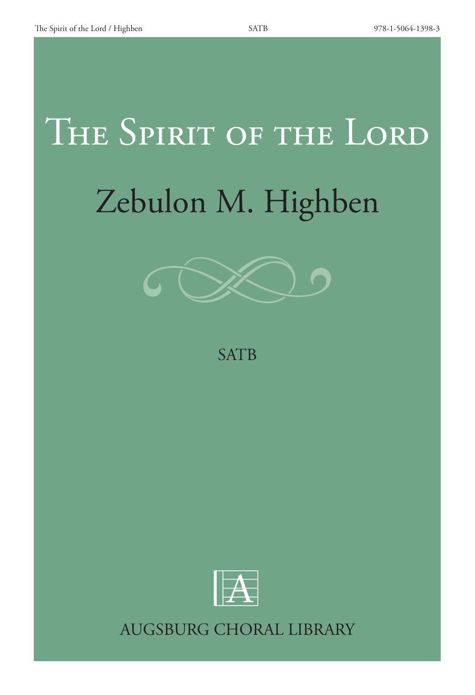## THE SPIRIT OF THE LORD Zebulon M. Highben



## **SATB**



AUGSBURG CHORAL LIBRARY